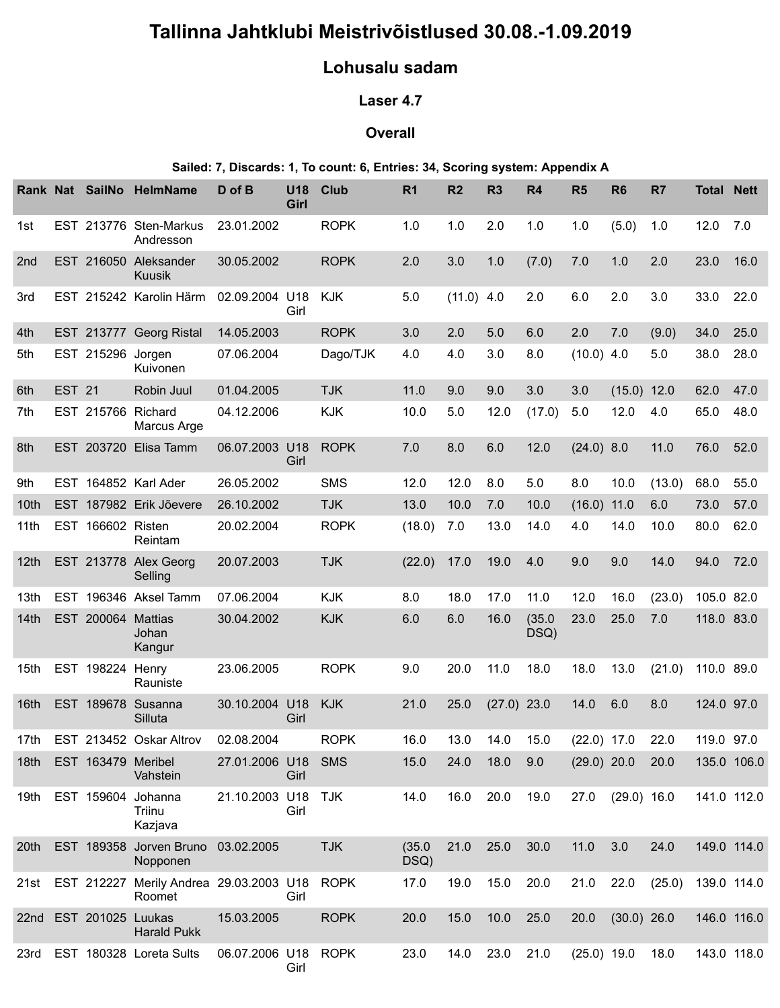# Tallinna Jahtklubi Meistrivõistlused 30.08.-1.09.2019

## Lohusalu sadam

## Laser 4.7

### **Overall**

#### Sailed: 7, Discards: 1, To count: 6, Entries: 34, Scoring system: Appendix A

| Tallinna Jahtklubi Meistrivõistlused 30.08.-1.09.2019<br>Lohusalu sadam<br>Laser 4.7<br><b>Overall</b><br>Sailed: 7, Discards: 1, To count: 6, Entries: 34, Scoring system: Appendix A<br>Rank Nat SailNo HelmName<br>D of B<br>U18<br><b>Club</b><br>R <sub>6</sub><br><b>Total Nett</b><br>R <sub>1</sub><br>R <sub>2</sub><br>R <sub>3</sub><br><b>R4</b><br>R <sub>5</sub><br>R <sub>7</sub><br>Girl<br>EST 213776 Sten-Markus<br><b>ROPK</b><br>2.0<br>23.01.2002<br>1.0<br>1.0<br>1.0<br>1.0<br>(5.0)<br>1.0<br>12.0 7.0<br>1st<br>Andresson<br><b>ROPK</b><br>2.0<br>2.0<br>23.0<br>16.0<br>EST 216050 Aleksander<br>30.05.2002<br>3.0<br>1.0<br>(7.0)<br>7.0<br>1.0<br>2 <sub>nd</sub><br>Kuusik<br>EST 215242 Karolin Härm<br>$(11.0)$ 4.0<br>02.09.2004 U18<br>KJK<br>5.0<br>2.0<br>6.0<br>2.0<br>3.0<br>33.0<br>22.0<br>3rd<br>Girl<br>EST 213777 Georg Ristal<br>14.05.2003<br><b>ROPK</b><br>3.0<br>2.0<br>5.0<br>6.0<br>2.0<br>7.0<br>(9.0)<br>34.0<br>25.0<br>4th<br>EST 215296 Jorgen<br>07.06.2004<br>Dago/TJK<br>3.0<br>38.0<br>5th<br>4.0<br>4.0<br>8.0<br>$(10.0)$ 4.0<br>5.0<br>28.0<br>Kuivonen<br><b>EST 21</b><br>Robin Juul<br>01.04.2005<br><b>TJK</b><br>11.0<br>9.0<br>$(15.0)$ 12.0<br>62.0<br>47.0<br>9.0<br>3.0<br>6th<br>3.0<br>EST 215766 Richard<br><b>KJK</b><br>10.0<br>5.0<br>(17.0)<br>5.0<br>12.0<br>4.0<br>48.0<br>7th<br>04.12.2006<br>12.0<br>65.0<br>Marcus Arge<br>EST 203720 Elisa Tamm<br>06.07.2003 U18<br><b>ROPK</b><br>12.0<br>$(24.0)$ 8.0<br>76.0<br>52.0<br>8th<br>7.0<br>8.0<br>6.0<br>11.0<br>Girl<br><b>SMS</b><br>EST 164852 Karl Ader<br>26.05.2002<br>12.0<br>12.0<br>8.0<br>5.0<br>10.0<br>(13.0)<br>68.0<br>55.0<br>8.0<br>9th<br>EST 187982 Erik Jõevere<br>10.0<br>$(16.0)$ 11.0<br>57.0<br>26.10.2002<br><b>TJK</b><br>13.0<br>7.0<br>10.0<br>6.0<br>73.0<br>10th<br><b>ROPK</b><br>EST 166602 Risten<br>20.02.2004<br>(18.0)<br>13.0<br>14.0<br>4.0<br>14.0<br>10.0<br>80.0<br>62.0<br>7.0<br>11th<br>Reintam<br><b>TJK</b><br>14.0<br>94.0<br>72.0<br>EST 213778 Alex Georg<br>20.07.2003<br>17.0<br>19.0 4.0<br>9.0<br>9.0<br>(22.0)<br>12th<br>Selling<br>EST 196346 Aksel Tamm<br>07.06.2004<br><b>KJK</b><br>17.0<br>12.0<br>16.0<br>(23.0)<br>105.0 82.0<br>8.0<br>18.0<br>11.0<br>13th<br><b>KJK</b><br>(35.0)<br>23.0<br>25.0<br>118.0 83.0<br>EST 200064 Mattias<br>30.04.2002<br>6.0<br>6.0<br>16.0<br>7.0<br>14th<br>DSQ)<br>Johan<br>Kangur<br><b>ROPK</b><br><b>EST 198224 Henry</b><br>23.06.2005<br>18.0<br>13.0<br>$(21.0)$ 110.0 89.0<br>9.0<br>20.0<br>11.0<br>18.0<br>15th<br>Rauniste<br>30.10.2004 U18<br>$(27.0)$ 23.0<br>EST 189678 Susanna<br>KJK<br>21.0<br>25.0<br>8.0<br>124.0 97.0<br>14.0<br>6.0<br>16th<br>Silluta<br>Girl<br>EST 213452 Oskar Altrov<br><b>ROPK</b><br>14.0<br>02.08.2004<br>16.0<br>13.0<br>15.0<br>$(22.0)$ 17.0<br>22.0<br>119.0 97.0<br>17th<br>135.0 106.0<br>EST 163479 Meribel<br>27.01.2006 U18<br>SMS<br>24.0<br>18.0<br>9.0<br>(29.0) 20.0<br>20.0<br>15.0<br>18th<br>Vahstein<br>Girl<br>21.10.2003 U18 TJK<br>20.0<br>$(29.0)$ 16.0<br>EST 159604 Johanna<br>14.0<br>16.0<br>19.0<br>27.0<br>141.0 112.0<br>19th<br>Girl<br>Triinu<br>Kazjava<br>EST 189358 Jorven Bruno 03.02.2005<br>21.0<br>25.0<br>30.0<br>11.0<br>24.0<br>149.0 114.0<br><b>TJK</b><br>(35.0)<br>3.0<br>20th<br>DSQ)<br>Nopponen<br>EST 212227 Merily Andrea 29.03.2003 U18<br><b>ROPK</b><br>19.0<br>15.0<br>20.0<br>17.0<br>21.0<br>22.0<br>$(25.0)$ 139.0 114.0<br>21st<br>Roomet<br>Girl<br><b>ROPK</b><br>$(30.0)$ 26.0<br>EST 201025 Luukas<br>15.03.2005<br>20.0<br>15.0<br>10.0<br>25.0<br>20.0<br>146.0 116.0<br>22 <sub>nd</sub><br><b>Harald Pukk</b><br>EST 180328 Loreta Sults<br>06.07.2006 U18<br>$(25.0)$ 19.0<br>143.0 118.0<br>23rd |  |  |  |  |  |             |      |      |      |      |  |  |      |  |  |
|--------------------------------------------------------------------------------------------------------------------------------------------------------------------------------------------------------------------------------------------------------------------------------------------------------------------------------------------------------------------------------------------------------------------------------------------------------------------------------------------------------------------------------------------------------------------------------------------------------------------------------------------------------------------------------------------------------------------------------------------------------------------------------------------------------------------------------------------------------------------------------------------------------------------------------------------------------------------------------------------------------------------------------------------------------------------------------------------------------------------------------------------------------------------------------------------------------------------------------------------------------------------------------------------------------------------------------------------------------------------------------------------------------------------------------------------------------------------------------------------------------------------------------------------------------------------------------------------------------------------------------------------------------------------------------------------------------------------------------------------------------------------------------------------------------------------------------------------------------------------------------------------------------------------------------------------------------------------------------------------------------------------------------------------------------------------------------------------------------------------------------------------------------------------------------------------------------------------------------------------------------------------------------------------------------------------------------------------------------------------------------------------------------------------------------------------------------------------------------------------------------------------------------------------------------------------------------------------------------------------------------------------------------------------------------------------------------------------------------------------------------------------------------------------------------------------------------------------------------------------------------------------------------------------------------------------------------------------------------------------------------------------------------------------------------------------------------------------------------------------------------------------------------------------------------------------------------------------------------------------------------------------------------------------------------------------------------------------------------------------------------------------------------------------------------------------------------------------------------------------------------------------------------------------------------------------------------------------------------------------------------------------------------------------------------------------------------------------------------------------------------|--|--|--|--|--|-------------|------|------|------|------|--|--|------|--|--|
|                                                                                                                                                                                                                                                                                                                                                                                                                                                                                                                                                                                                                                                                                                                                                                                                                                                                                                                                                                                                                                                                                                                                                                                                                                                                                                                                                                                                                                                                                                                                                                                                                                                                                                                                                                                                                                                                                                                                                                                                                                                                                                                                                                                                                                                                                                                                                                                                                                                                                                                                                                                                                                                                                                                                                                                                                                                                                                                                                                                                                                                                                                                                                                                                                                                                                                                                                                                                                                                                                                                                                                                                                                                                                                                                                        |  |  |  |  |  |             |      |      |      |      |  |  |      |  |  |
|                                                                                                                                                                                                                                                                                                                                                                                                                                                                                                                                                                                                                                                                                                                                                                                                                                                                                                                                                                                                                                                                                                                                                                                                                                                                                                                                                                                                                                                                                                                                                                                                                                                                                                                                                                                                                                                                                                                                                                                                                                                                                                                                                                                                                                                                                                                                                                                                                                                                                                                                                                                                                                                                                                                                                                                                                                                                                                                                                                                                                                                                                                                                                                                                                                                                                                                                                                                                                                                                                                                                                                                                                                                                                                                                                        |  |  |  |  |  |             |      |      |      |      |  |  |      |  |  |
|                                                                                                                                                                                                                                                                                                                                                                                                                                                                                                                                                                                                                                                                                                                                                                                                                                                                                                                                                                                                                                                                                                                                                                                                                                                                                                                                                                                                                                                                                                                                                                                                                                                                                                                                                                                                                                                                                                                                                                                                                                                                                                                                                                                                                                                                                                                                                                                                                                                                                                                                                                                                                                                                                                                                                                                                                                                                                                                                                                                                                                                                                                                                                                                                                                                                                                                                                                                                                                                                                                                                                                                                                                                                                                                                                        |  |  |  |  |  |             |      |      |      |      |  |  |      |  |  |
|                                                                                                                                                                                                                                                                                                                                                                                                                                                                                                                                                                                                                                                                                                                                                                                                                                                                                                                                                                                                                                                                                                                                                                                                                                                                                                                                                                                                                                                                                                                                                                                                                                                                                                                                                                                                                                                                                                                                                                                                                                                                                                                                                                                                                                                                                                                                                                                                                                                                                                                                                                                                                                                                                                                                                                                                                                                                                                                                                                                                                                                                                                                                                                                                                                                                                                                                                                                                                                                                                                                                                                                                                                                                                                                                                        |  |  |  |  |  |             |      |      |      |      |  |  |      |  |  |
|                                                                                                                                                                                                                                                                                                                                                                                                                                                                                                                                                                                                                                                                                                                                                                                                                                                                                                                                                                                                                                                                                                                                                                                                                                                                                                                                                                                                                                                                                                                                                                                                                                                                                                                                                                                                                                                                                                                                                                                                                                                                                                                                                                                                                                                                                                                                                                                                                                                                                                                                                                                                                                                                                                                                                                                                                                                                                                                                                                                                                                                                                                                                                                                                                                                                                                                                                                                                                                                                                                                                                                                                                                                                                                                                                        |  |  |  |  |  |             |      |      |      |      |  |  |      |  |  |
|                                                                                                                                                                                                                                                                                                                                                                                                                                                                                                                                                                                                                                                                                                                                                                                                                                                                                                                                                                                                                                                                                                                                                                                                                                                                                                                                                                                                                                                                                                                                                                                                                                                                                                                                                                                                                                                                                                                                                                                                                                                                                                                                                                                                                                                                                                                                                                                                                                                                                                                                                                                                                                                                                                                                                                                                                                                                                                                                                                                                                                                                                                                                                                                                                                                                                                                                                                                                                                                                                                                                                                                                                                                                                                                                                        |  |  |  |  |  |             |      |      |      |      |  |  |      |  |  |
|                                                                                                                                                                                                                                                                                                                                                                                                                                                                                                                                                                                                                                                                                                                                                                                                                                                                                                                                                                                                                                                                                                                                                                                                                                                                                                                                                                                                                                                                                                                                                                                                                                                                                                                                                                                                                                                                                                                                                                                                                                                                                                                                                                                                                                                                                                                                                                                                                                                                                                                                                                                                                                                                                                                                                                                                                                                                                                                                                                                                                                                                                                                                                                                                                                                                                                                                                                                                                                                                                                                                                                                                                                                                                                                                                        |  |  |  |  |  |             |      |      |      |      |  |  |      |  |  |
|                                                                                                                                                                                                                                                                                                                                                                                                                                                                                                                                                                                                                                                                                                                                                                                                                                                                                                                                                                                                                                                                                                                                                                                                                                                                                                                                                                                                                                                                                                                                                                                                                                                                                                                                                                                                                                                                                                                                                                                                                                                                                                                                                                                                                                                                                                                                                                                                                                                                                                                                                                                                                                                                                                                                                                                                                                                                                                                                                                                                                                                                                                                                                                                                                                                                                                                                                                                                                                                                                                                                                                                                                                                                                                                                                        |  |  |  |  |  |             |      |      |      |      |  |  |      |  |  |
|                                                                                                                                                                                                                                                                                                                                                                                                                                                                                                                                                                                                                                                                                                                                                                                                                                                                                                                                                                                                                                                                                                                                                                                                                                                                                                                                                                                                                                                                                                                                                                                                                                                                                                                                                                                                                                                                                                                                                                                                                                                                                                                                                                                                                                                                                                                                                                                                                                                                                                                                                                                                                                                                                                                                                                                                                                                                                                                                                                                                                                                                                                                                                                                                                                                                                                                                                                                                                                                                                                                                                                                                                                                                                                                                                        |  |  |  |  |  |             |      |      |      |      |  |  |      |  |  |
|                                                                                                                                                                                                                                                                                                                                                                                                                                                                                                                                                                                                                                                                                                                                                                                                                                                                                                                                                                                                                                                                                                                                                                                                                                                                                                                                                                                                                                                                                                                                                                                                                                                                                                                                                                                                                                                                                                                                                                                                                                                                                                                                                                                                                                                                                                                                                                                                                                                                                                                                                                                                                                                                                                                                                                                                                                                                                                                                                                                                                                                                                                                                                                                                                                                                                                                                                                                                                                                                                                                                                                                                                                                                                                                                                        |  |  |  |  |  |             |      |      |      |      |  |  |      |  |  |
|                                                                                                                                                                                                                                                                                                                                                                                                                                                                                                                                                                                                                                                                                                                                                                                                                                                                                                                                                                                                                                                                                                                                                                                                                                                                                                                                                                                                                                                                                                                                                                                                                                                                                                                                                                                                                                                                                                                                                                                                                                                                                                                                                                                                                                                                                                                                                                                                                                                                                                                                                                                                                                                                                                                                                                                                                                                                                                                                                                                                                                                                                                                                                                                                                                                                                                                                                                                                                                                                                                                                                                                                                                                                                                                                                        |  |  |  |  |  |             |      |      |      |      |  |  |      |  |  |
|                                                                                                                                                                                                                                                                                                                                                                                                                                                                                                                                                                                                                                                                                                                                                                                                                                                                                                                                                                                                                                                                                                                                                                                                                                                                                                                                                                                                                                                                                                                                                                                                                                                                                                                                                                                                                                                                                                                                                                                                                                                                                                                                                                                                                                                                                                                                                                                                                                                                                                                                                                                                                                                                                                                                                                                                                                                                                                                                                                                                                                                                                                                                                                                                                                                                                                                                                                                                                                                                                                                                                                                                                                                                                                                                                        |  |  |  |  |  |             |      |      |      |      |  |  |      |  |  |
|                                                                                                                                                                                                                                                                                                                                                                                                                                                                                                                                                                                                                                                                                                                                                                                                                                                                                                                                                                                                                                                                                                                                                                                                                                                                                                                                                                                                                                                                                                                                                                                                                                                                                                                                                                                                                                                                                                                                                                                                                                                                                                                                                                                                                                                                                                                                                                                                                                                                                                                                                                                                                                                                                                                                                                                                                                                                                                                                                                                                                                                                                                                                                                                                                                                                                                                                                                                                                                                                                                                                                                                                                                                                                                                                                        |  |  |  |  |  |             |      |      |      |      |  |  |      |  |  |
|                                                                                                                                                                                                                                                                                                                                                                                                                                                                                                                                                                                                                                                                                                                                                                                                                                                                                                                                                                                                                                                                                                                                                                                                                                                                                                                                                                                                                                                                                                                                                                                                                                                                                                                                                                                                                                                                                                                                                                                                                                                                                                                                                                                                                                                                                                                                                                                                                                                                                                                                                                                                                                                                                                                                                                                                                                                                                                                                                                                                                                                                                                                                                                                                                                                                                                                                                                                                                                                                                                                                                                                                                                                                                                                                                        |  |  |  |  |  |             |      |      |      |      |  |  |      |  |  |
|                                                                                                                                                                                                                                                                                                                                                                                                                                                                                                                                                                                                                                                                                                                                                                                                                                                                                                                                                                                                                                                                                                                                                                                                                                                                                                                                                                                                                                                                                                                                                                                                                                                                                                                                                                                                                                                                                                                                                                                                                                                                                                                                                                                                                                                                                                                                                                                                                                                                                                                                                                                                                                                                                                                                                                                                                                                                                                                                                                                                                                                                                                                                                                                                                                                                                                                                                                                                                                                                                                                                                                                                                                                                                                                                                        |  |  |  |  |  |             |      |      |      |      |  |  |      |  |  |
|                                                                                                                                                                                                                                                                                                                                                                                                                                                                                                                                                                                                                                                                                                                                                                                                                                                                                                                                                                                                                                                                                                                                                                                                                                                                                                                                                                                                                                                                                                                                                                                                                                                                                                                                                                                                                                                                                                                                                                                                                                                                                                                                                                                                                                                                                                                                                                                                                                                                                                                                                                                                                                                                                                                                                                                                                                                                                                                                                                                                                                                                                                                                                                                                                                                                                                                                                                                                                                                                                                                                                                                                                                                                                                                                                        |  |  |  |  |  |             |      |      |      |      |  |  |      |  |  |
|                                                                                                                                                                                                                                                                                                                                                                                                                                                                                                                                                                                                                                                                                                                                                                                                                                                                                                                                                                                                                                                                                                                                                                                                                                                                                                                                                                                                                                                                                                                                                                                                                                                                                                                                                                                                                                                                                                                                                                                                                                                                                                                                                                                                                                                                                                                                                                                                                                                                                                                                                                                                                                                                                                                                                                                                                                                                                                                                                                                                                                                                                                                                                                                                                                                                                                                                                                                                                                                                                                                                                                                                                                                                                                                                                        |  |  |  |  |  |             |      |      |      |      |  |  |      |  |  |
|                                                                                                                                                                                                                                                                                                                                                                                                                                                                                                                                                                                                                                                                                                                                                                                                                                                                                                                                                                                                                                                                                                                                                                                                                                                                                                                                                                                                                                                                                                                                                                                                                                                                                                                                                                                                                                                                                                                                                                                                                                                                                                                                                                                                                                                                                                                                                                                                                                                                                                                                                                                                                                                                                                                                                                                                                                                                                                                                                                                                                                                                                                                                                                                                                                                                                                                                                                                                                                                                                                                                                                                                                                                                                                                                                        |  |  |  |  |  |             |      |      |      |      |  |  |      |  |  |
|                                                                                                                                                                                                                                                                                                                                                                                                                                                                                                                                                                                                                                                                                                                                                                                                                                                                                                                                                                                                                                                                                                                                                                                                                                                                                                                                                                                                                                                                                                                                                                                                                                                                                                                                                                                                                                                                                                                                                                                                                                                                                                                                                                                                                                                                                                                                                                                                                                                                                                                                                                                                                                                                                                                                                                                                                                                                                                                                                                                                                                                                                                                                                                                                                                                                                                                                                                                                                                                                                                                                                                                                                                                                                                                                                        |  |  |  |  |  |             |      |      |      |      |  |  |      |  |  |
|                                                                                                                                                                                                                                                                                                                                                                                                                                                                                                                                                                                                                                                                                                                                                                                                                                                                                                                                                                                                                                                                                                                                                                                                                                                                                                                                                                                                                                                                                                                                                                                                                                                                                                                                                                                                                                                                                                                                                                                                                                                                                                                                                                                                                                                                                                                                                                                                                                                                                                                                                                                                                                                                                                                                                                                                                                                                                                                                                                                                                                                                                                                                                                                                                                                                                                                                                                                                                                                                                                                                                                                                                                                                                                                                                        |  |  |  |  |  |             |      |      |      |      |  |  |      |  |  |
|                                                                                                                                                                                                                                                                                                                                                                                                                                                                                                                                                                                                                                                                                                                                                                                                                                                                                                                                                                                                                                                                                                                                                                                                                                                                                                                                                                                                                                                                                                                                                                                                                                                                                                                                                                                                                                                                                                                                                                                                                                                                                                                                                                                                                                                                                                                                                                                                                                                                                                                                                                                                                                                                                                                                                                                                                                                                                                                                                                                                                                                                                                                                                                                                                                                                                                                                                                                                                                                                                                                                                                                                                                                                                                                                                        |  |  |  |  |  |             |      |      |      |      |  |  |      |  |  |
|                                                                                                                                                                                                                                                                                                                                                                                                                                                                                                                                                                                                                                                                                                                                                                                                                                                                                                                                                                                                                                                                                                                                                                                                                                                                                                                                                                                                                                                                                                                                                                                                                                                                                                                                                                                                                                                                                                                                                                                                                                                                                                                                                                                                                                                                                                                                                                                                                                                                                                                                                                                                                                                                                                                                                                                                                                                                                                                                                                                                                                                                                                                                                                                                                                                                                                                                                                                                                                                                                                                                                                                                                                                                                                                                                        |  |  |  |  |  |             |      |      |      |      |  |  |      |  |  |
|                                                                                                                                                                                                                                                                                                                                                                                                                                                                                                                                                                                                                                                                                                                                                                                                                                                                                                                                                                                                                                                                                                                                                                                                                                                                                                                                                                                                                                                                                                                                                                                                                                                                                                                                                                                                                                                                                                                                                                                                                                                                                                                                                                                                                                                                                                                                                                                                                                                                                                                                                                                                                                                                                                                                                                                                                                                                                                                                                                                                                                                                                                                                                                                                                                                                                                                                                                                                                                                                                                                                                                                                                                                                                                                                                        |  |  |  |  |  |             |      |      |      |      |  |  |      |  |  |
|                                                                                                                                                                                                                                                                                                                                                                                                                                                                                                                                                                                                                                                                                                                                                                                                                                                                                                                                                                                                                                                                                                                                                                                                                                                                                                                                                                                                                                                                                                                                                                                                                                                                                                                                                                                                                                                                                                                                                                                                                                                                                                                                                                                                                                                                                                                                                                                                                                                                                                                                                                                                                                                                                                                                                                                                                                                                                                                                                                                                                                                                                                                                                                                                                                                                                                                                                                                                                                                                                                                                                                                                                                                                                                                                                        |  |  |  |  |  |             |      |      |      |      |  |  |      |  |  |
|                                                                                                                                                                                                                                                                                                                                                                                                                                                                                                                                                                                                                                                                                                                                                                                                                                                                                                                                                                                                                                                                                                                                                                                                                                                                                                                                                                                                                                                                                                                                                                                                                                                                                                                                                                                                                                                                                                                                                                                                                                                                                                                                                                                                                                                                                                                                                                                                                                                                                                                                                                                                                                                                                                                                                                                                                                                                                                                                                                                                                                                                                                                                                                                                                                                                                                                                                                                                                                                                                                                                                                                                                                                                                                                                                        |  |  |  |  |  |             |      |      |      |      |  |  |      |  |  |
|                                                                                                                                                                                                                                                                                                                                                                                                                                                                                                                                                                                                                                                                                                                                                                                                                                                                                                                                                                                                                                                                                                                                                                                                                                                                                                                                                                                                                                                                                                                                                                                                                                                                                                                                                                                                                                                                                                                                                                                                                                                                                                                                                                                                                                                                                                                                                                                                                                                                                                                                                                                                                                                                                                                                                                                                                                                                                                                                                                                                                                                                                                                                                                                                                                                                                                                                                                                                                                                                                                                                                                                                                                                                                                                                                        |  |  |  |  |  |             |      |      |      |      |  |  |      |  |  |
|                                                                                                                                                                                                                                                                                                                                                                                                                                                                                                                                                                                                                                                                                                                                                                                                                                                                                                                                                                                                                                                                                                                                                                                                                                                                                                                                                                                                                                                                                                                                                                                                                                                                                                                                                                                                                                                                                                                                                                                                                                                                                                                                                                                                                                                                                                                                                                                                                                                                                                                                                                                                                                                                                                                                                                                                                                                                                                                                                                                                                                                                                                                                                                                                                                                                                                                                                                                                                                                                                                                                                                                                                                                                                                                                                        |  |  |  |  |  |             |      |      |      |      |  |  |      |  |  |
|                                                                                                                                                                                                                                                                                                                                                                                                                                                                                                                                                                                                                                                                                                                                                                                                                                                                                                                                                                                                                                                                                                                                                                                                                                                                                                                                                                                                                                                                                                                                                                                                                                                                                                                                                                                                                                                                                                                                                                                                                                                                                                                                                                                                                                                                                                                                                                                                                                                                                                                                                                                                                                                                                                                                                                                                                                                                                                                                                                                                                                                                                                                                                                                                                                                                                                                                                                                                                                                                                                                                                                                                                                                                                                                                                        |  |  |  |  |  |             |      |      |      |      |  |  |      |  |  |
| Girl                                                                                                                                                                                                                                                                                                                                                                                                                                                                                                                                                                                                                                                                                                                                                                                                                                                                                                                                                                                                                                                                                                                                                                                                                                                                                                                                                                                                                                                                                                                                                                                                                                                                                                                                                                                                                                                                                                                                                                                                                                                                                                                                                                                                                                                                                                                                                                                                                                                                                                                                                                                                                                                                                                                                                                                                                                                                                                                                                                                                                                                                                                                                                                                                                                                                                                                                                                                                                                                                                                                                                                                                                                                                                                                                                   |  |  |  |  |  | <b>ROPK</b> | 23.0 | 14.0 | 23.0 | 21.0 |  |  | 18.0 |  |  |